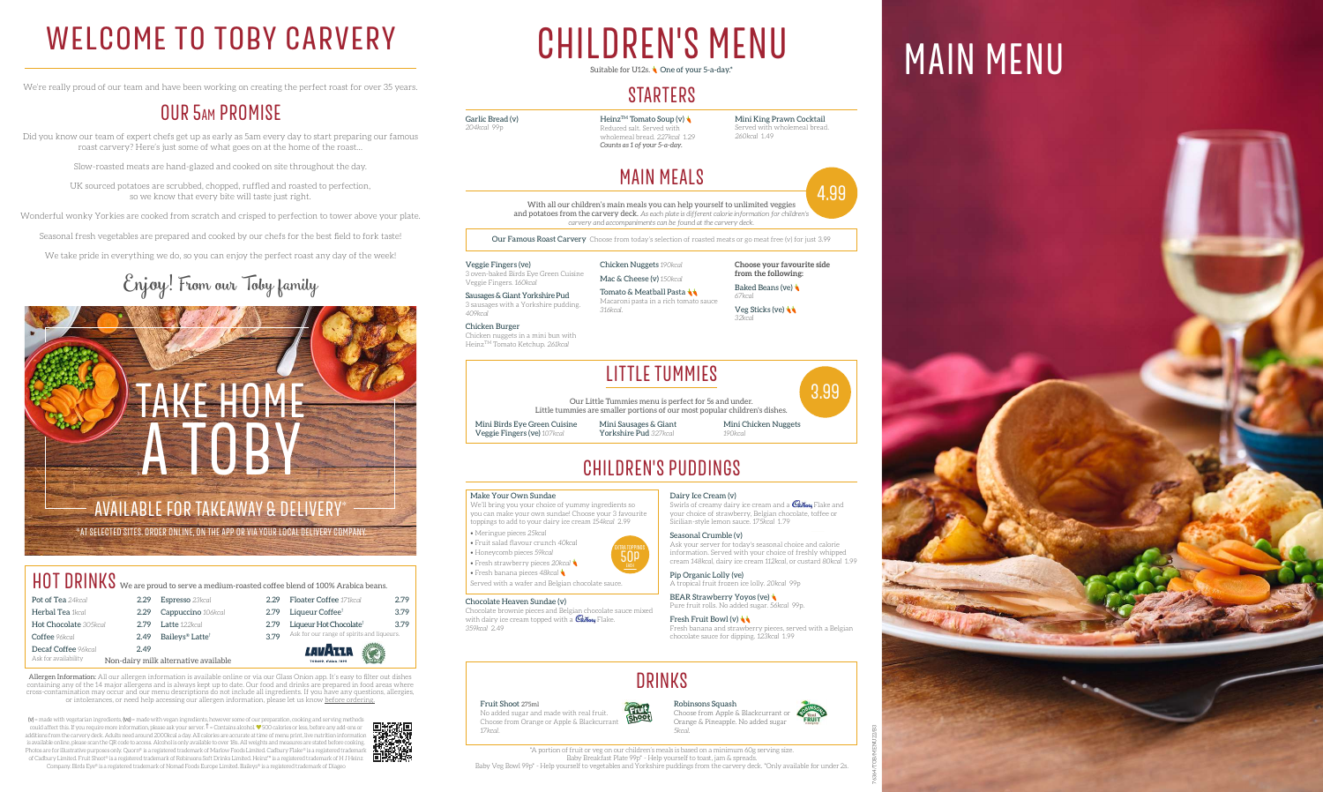# DRINKS

Fruit Shoot 275ml No added sugar and made with real fruit. Choose from Orange or Apple & Blackcurrant *17kcal*.

Choose from Apple & Blackcurrant or Orange & Pineapple. No added sugar *5kcal*.

#### Robinsons Squash

 $(v)$  = made with vegetarian ingredients,  $(ve)$  = made with vegan ingredients, however some of our preparation, cooking and serving methods could affect this. If you require more information, please ask your server.  $\dagger$  = Contains alcohol.  $\blacktriangledown$  500 calories or less, before any add-ons or additions from the carvery deck. Adults need around 2000kcal a day. All calories are accurate at time of menu print, live nutrition information is available online, please scan the QR code to access. Alcohol is only available to over 18s. All weights and measures are stated before cooking. Photos are for illustrative purposes only. Quorn® is a registered trademark of Marlow Foods Limited. Cadbury Flake® is a registered tradema of Cadbury Limited. Fruit Shoot® is a registered trademark of Robinsons Soft Drinks Limited. Heinz™ is a registered trademark of H J Heinz

Heinz<sup>TM</sup> Tomato Soup (v) Reduced salt. Served with wholemeal bread. *227kcal* 1.29 *Counts as 1 of your 5-a-day.*

Company. Birds Eye® is a registered trademark of Nomad Foods Europe Limited. Baileys® is a registered trademark of Diageo

### WELCOME TO TOBY CARVERY CHILDREN'S MENU MAIN MENU CHILDREN'S MENU Suitable for U12s. **One of your 5-a-day.**

### **STARTERS**

We're really proud of our team and have been working on creating the perfect roast for over 35 years.

### OUR 5am PROMISE

Did you know our team of expert chefs get up as early as 5am every day to start preparing our famous roast carvery? Here's just some of what goes on at the home of the roast…

> Tomato & Meatball Pasta Macaroni pasta in a rich tomato sauce *316kcal*.

**Choose your favourite side from the following:** Baked Beans (ve)

Slow-roasted meats are hand-glazed and cooked on site throughout the day.

UK sourced potatoes are scrubbed, chopped, ruffled and roasted to perfection, so we know that every bite will taste just right.

Wonderful wonky Yorkies are cooked from scratch and crisped to perfection to tower above your plate.

Seasonal fresh vegetables are prepared and cooked by our chefs for the best field to fork taste!

Swirls of creamy dairy ice cream and a  $\mathcal{C}_{\mathit{abbuvy}}$  Flake and your choice of strawberry, Belgian chocolate, toffee or



We take pride in everything we do, so you can enjoy the perfect roast any day of the week!

# Enjoy! From our Toby family

BEAR Strawberry Yoyos (ve) Pure fruit rolls. No added sugar. *56kcal* 99p.

Garlic Bread (v)

*204kcal* 99p

**Fresh Fruit Bowl (v)** Fresh banana and strawberry pieces, served with a Belgian chocolate sauce for dipping. *123kcal* 1.99



*260kcal* 1.49

## MAIN MEALS

With all our children's main meals you can help yourself to unlimited veggies and potatoes from the carvery deck. *As each plate is different calorie information for children's carvery and accompaniments can be found at the carvery deck.*

Our Famous Roast Carvery Choose from today's selection of roasted meats or go meat free (v) for just 3.99

Veggie Fingers (ve) 3 oven-baked Birds Eye Green Cuisine Veggie Fingers. *160kcal*

#### HOT DRINKS We are proud to serve a medium-roasted coffee blend of 100% Arabica beans. Pot of Tea 24kcal Floater Coffee *171kcal* 2.79 Espresso *23kcal* 2.29 **Herbal Tea** 1kcal 2.79 Liqueur Coffee<sup>†</sup> 3.79 2.29 Cappuccino 106kcal Hot Chocolate *305kcal* 2.79 Latte 122kcal 2.79 Liqueur Hot Chocolate<sup>†</sup> 3.79 Ask for our range of spirits and liqueurs. Coffee *96kcal* 2.49 Baileys® Latte† 3.79 Decaf Coffee *96kcal* 2.49 *LAVI*RIA Ask for availability Non-dairy milk alternative available

Sausages & Giant Yorkshire Pud 3 sausages with a Yorkshire pudding. *409kcal*

Chicken Burger Chicken nuggets in a mini bun with HeinzTM Tomato Ketchup. *261kcal*

Chicken Nuggets *190kcal* Mac & Cheese (v) *150kcal*

> TRA TOPPIN<br>**50p** EXTRA TOPPINGS





*67kcal* Veg Sticks (ve) *32kcal*

# CHILDREN'S PUDDINGS

#### Make Your Own Sundae

We'll bring you your choice of yummy ingredients so you can make your own sundae! Choose your 3 favourite toppings to add to your dairy ice cream *154kcal* 2.99

- Meringue pieces *25kcal*
- Fruit salad flavour crunch *40kcal*
- Honeycomb pieces *59kcal*
- Fresh strawberry pieces *20kcal*
- Fresh banana pieces *48kcal*

Served with a wafer and Belgian chocolate sauce.

#### Chocolate Heaven Sundae (v)

Chocolate brownie pieces and Belgian chocolate sauce mixed with dairy ice cream topped with a **Cabury** Flake. *359kcal* 2.49

Dairy Ice Cream (v)

Sicilian-style lemon sauce. *175kcal* 1.79 Seasonal Crumble (v) Ask your server for today's seasonal choice and calorie

information. Served with your choice of freshly whipped cream *148kcal*, dairy ice cream *112kcal*, or custard *80kcal* 1.99

Pip Organic Lolly (ve) A tropical fruit frozen ice lolly. *20kcal* 99p

## LITTLE TUMMIES

Our Little Tummies menu is perfect for 5s and under. Little tummies are smaller portions of our most popular children's dishes.



Mini Birds Eye Green Cuisine Veggie Fingers (ve) *107kcal*

Mini Sausages & Giant Yorkshire Pud *327kcal*

Mini Chicken Nuggets *190kcal*

\*AT SELECTED SITES. ORDER ONLINE, ON THE APP OR VIA YOUR LOCAL DELIVERY COMPANY.



\*A portion of fruit or veg on our children's meals is based on a minimum 60g serving size. Baby Breakfast Plate 99p\* - Help yourself to toast, jam & spreads. Baby Veg Bowl 99p\* - Help yourself to vegetables and Yorkshire puddings from the carvery deck. \*Only available for under 2s.







Allergen Information: All our allergen information is available online or via our Glass Onion app. It's easy to filter out dishes containing any of the 14 major allergens and is always kept up to date. Our food and drinks are prepared in food areas where cross-contamination may occur and our menu descriptions do not include all ingredients. If you have any questions, allergies, or intolerances, or need help accessing our allergen information, please let us know before ordering.